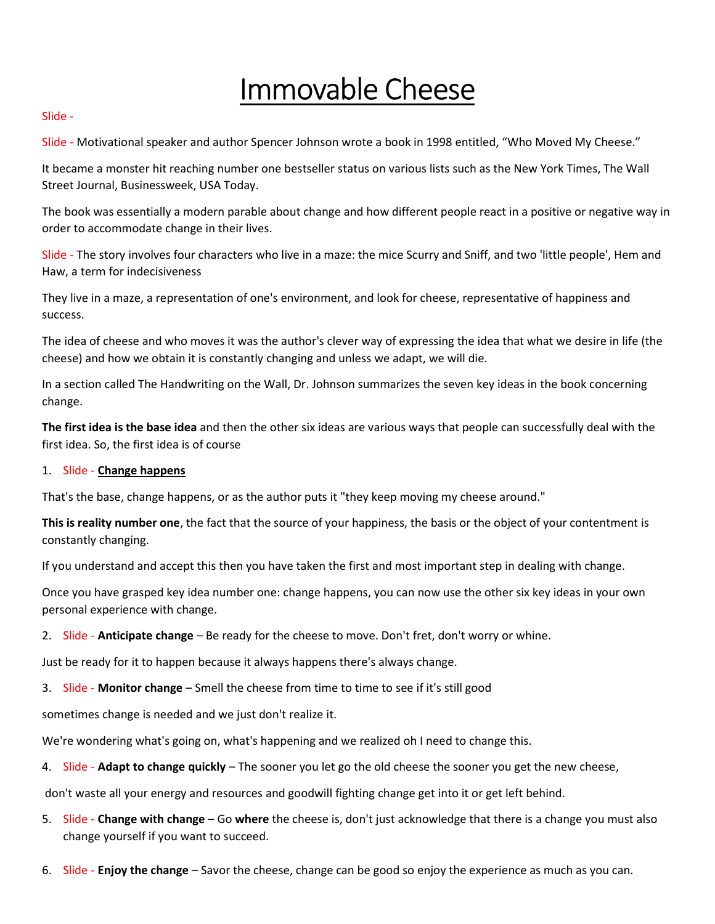# Immovable Cheese

#### Slide -

Slide - Motivational speaker and author Spencer Johnson wrote a book in 1998 entitled, "Who Moved My Cheese."

It became a monster hit reaching number one bestseller status on various lists such as the New York Times, The Wall Street Journal, Businessweek, USA Today.

The book was essentially a modern parable about change and how different people react in a positive or negative way in order to accommodate change in their lives.

Slide - The story involves four characters who live in a maze: the mice Scurry and Sniff, and two 'little people', Hem and Haw, a term for indecisiveness

They live in a maze, a representation of one's environment, and look for cheese, representative of happiness and success.

The idea of cheese and who moves it was the author's clever way of expressing the idea that what we desire in life (the cheese) and how we obtain it is constantly changing and unless we adapt, we will die.

In a section called The Handwriting on the Wall, Dr. Johnson summarizes the seven key ideas in the book concerning change.

The first idea is the base idea and then the other six ideas are various ways that people can successfully deal with the first idea. So, the first idea is of course

# 1. Slide - Change happens

That's the base, change happens, or as the author puts it "they keep moving my cheese around."

This is reality number one, the fact that the source of your happiness, the basis or the object of your contentment is constantly changing.

If you understand and accept this then you have taken the first and most important step in dealing with change.

Once you have grasped key idea number one: change happens, you can now use the other six key ideas in your own personal experience with change.

2. Slide - Anticipate change – Be ready for the cheese to move. Don't fret, don't worry or whine.

Just be ready for it to happen because it always happens there's always change.

3. Slide - Monitor change – Smell the cheese from time to time to see if it's still good

sometimes change is needed and we just don't realize it.

We're wondering what's going on, what's happening and we realized oh I need to change this.

4. Slide - Adapt to change quickly – The sooner you let go the old cheese the sooner you get the new cheese,

don't waste all your energy and resources and goodwill fighting change get into it or get left behind.

- 5. Slide Change with change Go where the cheese is, don't just acknowledge that there is a change you must also change yourself if you want to succeed.
- 6. Slide Enjoy the change Savor the cheese, change can be good so enjoy the experience as much as you can.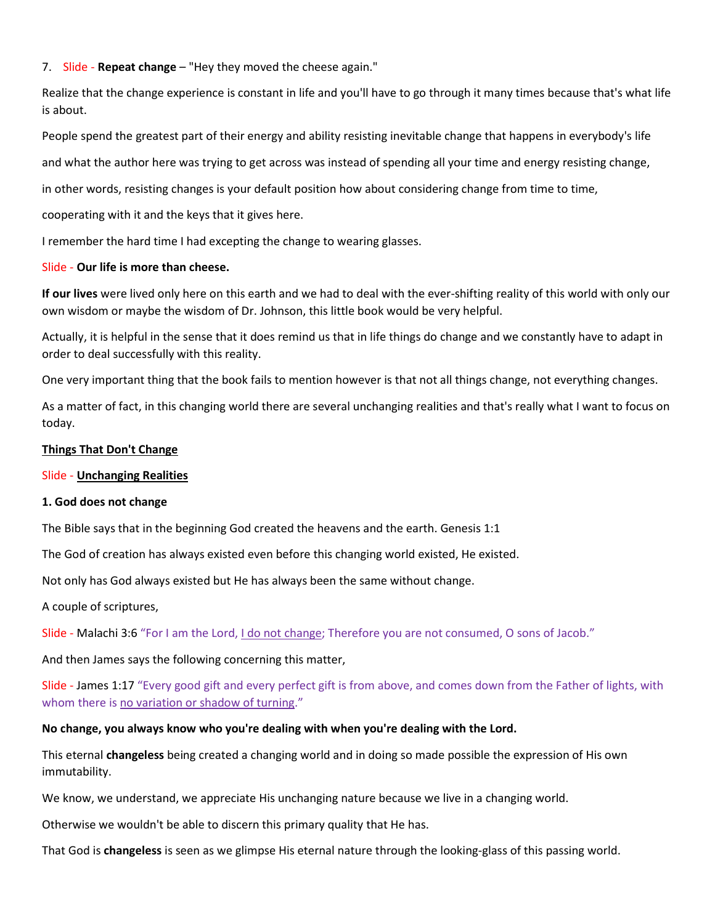# 7. Slide - Repeat change – "Hey they moved the cheese again."

Realize that the change experience is constant in life and you'll have to go through it many times because that's what life is about.

People spend the greatest part of their energy and ability resisting inevitable change that happens in everybody's life

and what the author here was trying to get across was instead of spending all your time and energy resisting change,

in other words, resisting changes is your default position how about considering change from time to time,

cooperating with it and the keys that it gives here.

I remember the hard time I had excepting the change to wearing glasses.

#### Slide - Our life is more than cheese.

If our lives were lived only here on this earth and we had to deal with the ever-shifting reality of this world with only our own wisdom or maybe the wisdom of Dr. Johnson, this little book would be very helpful.

Actually, it is helpful in the sense that it does remind us that in life things do change and we constantly have to adapt in order to deal successfully with this reality.

One very important thing that the book fails to mention however is that not all things change, not everything changes.

As a matter of fact, in this changing world there are several unchanging realities and that's really what I want to focus on today.

## Things That Don't Change

#### Slide - Unchanging Realities

#### 1. God does not change

The Bible says that in the beginning God created the heavens and the earth. Genesis 1:1

The God of creation has always existed even before this changing world existed, He existed.

Not only has God always existed but He has always been the same without change.

A couple of scriptures,

Slide - Malachi 3:6 "For I am the Lord, I do not change; Therefore you are not consumed, O sons of Jacob."

And then James says the following concerning this matter,

Slide - James 1:17 "Every good gift and every perfect gift is from above, and comes down from the Father of lights, with whom there is no variation or shadow of turning."

# No change, you always know who you're dealing with when you're dealing with the Lord.

This eternal **changeless** being created a changing world and in doing so made possible the expression of His own immutability.

We know, we understand, we appreciate His unchanging nature because we live in a changing world.

Otherwise we wouldn't be able to discern this primary quality that He has.

That God is changeless is seen as we glimpse His eternal nature through the looking-glass of this passing world.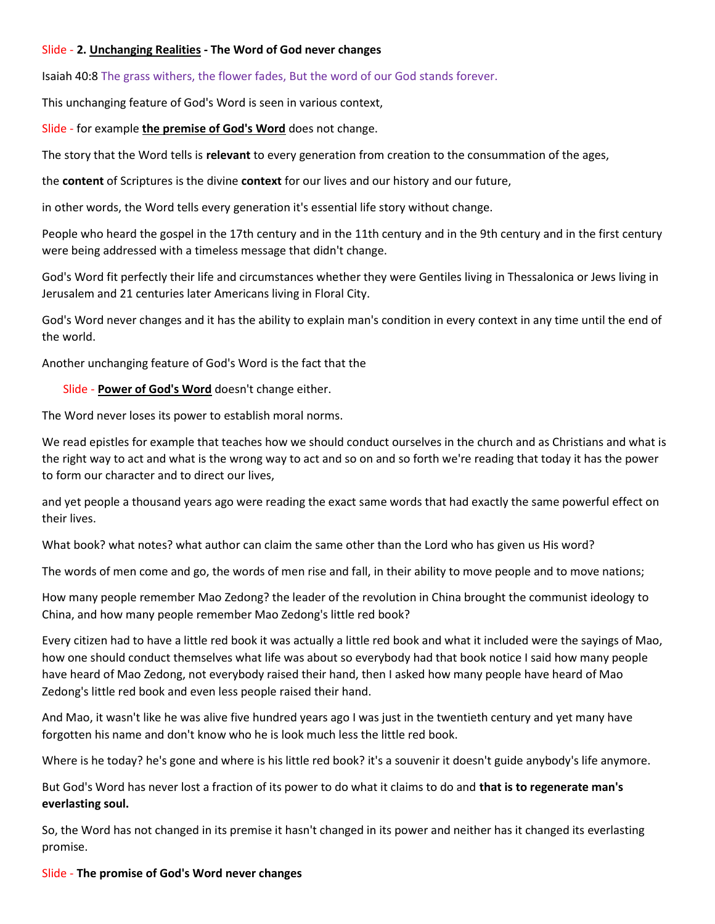## Slide - 2. Unchanging Realities - The Word of God never changes

Isaiah 40:8 The grass withers, the flower fades, But the word of our God stands forever.

This unchanging feature of God's Word is seen in various context,

Slide - for example the premise of God's Word does not change.

The story that the Word tells is relevant to every generation from creation to the consummation of the ages,

the **content** of Scriptures is the divine **context** for our lives and our history and our future,

in other words, the Word tells every generation it's essential life story without change.

People who heard the gospel in the 17th century and in the 11th century and in the 9th century and in the first century were being addressed with a timeless message that didn't change.

God's Word fit perfectly their life and circumstances whether they were Gentiles living in Thessalonica or Jews living in Jerusalem and 21 centuries later Americans living in Floral City.

God's Word never changes and it has the ability to explain man's condition in every context in any time until the end of the world.

Another unchanging feature of God's Word is the fact that the

Slide - Power of God's Word doesn't change either.

The Word never loses its power to establish moral norms.

We read epistles for example that teaches how we should conduct ourselves in the church and as Christians and what is the right way to act and what is the wrong way to act and so on and so forth we're reading that today it has the power to form our character and to direct our lives,

and yet people a thousand years ago were reading the exact same words that had exactly the same powerful effect on their lives.

What book? what notes? what author can claim the same other than the Lord who has given us His word?

The words of men come and go, the words of men rise and fall, in their ability to move people and to move nations;

How many people remember Mao Zedong? the leader of the revolution in China brought the communist ideology to China, and how many people remember Mao Zedong's little red book?

Every citizen had to have a little red book it was actually a little red book and what it included were the sayings of Mao, how one should conduct themselves what life was about so everybody had that book notice I said how many people have heard of Mao Zedong, not everybody raised their hand, then I asked how many people have heard of Mao Zedong's little red book and even less people raised their hand.

And Mao, it wasn't like he was alive five hundred years ago I was just in the twentieth century and yet many have forgotten his name and don't know who he is look much less the little red book.

Where is he today? he's gone and where is his little red book? it's a souvenir it doesn't guide anybody's life anymore.

But God's Word has never lost a fraction of its power to do what it claims to do and that is to regenerate man's everlasting soul.

So, the Word has not changed in its premise it hasn't changed in its power and neither has it changed its everlasting promise.

# Slide - The promise of God's Word never changes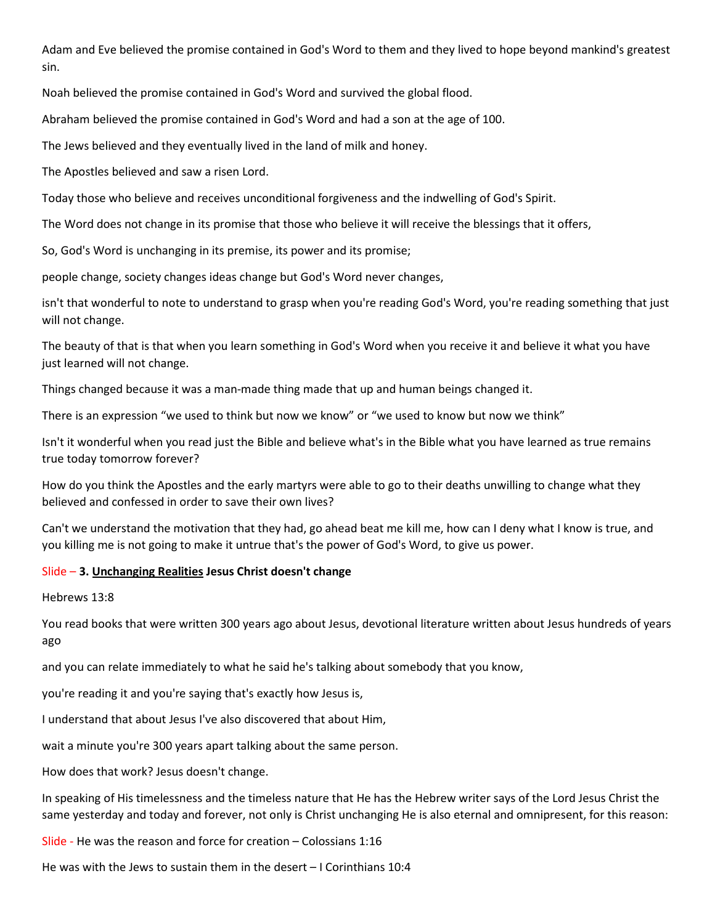Adam and Eve believed the promise contained in God's Word to them and they lived to hope beyond mankind's greatest sin.

Noah believed the promise contained in God's Word and survived the global flood.

Abraham believed the promise contained in God's Word and had a son at the age of 100.

The Jews believed and they eventually lived in the land of milk and honey.

The Apostles believed and saw a risen Lord.

Today those who believe and receives unconditional forgiveness and the indwelling of God's Spirit.

The Word does not change in its promise that those who believe it will receive the blessings that it offers,

So, God's Word is unchanging in its premise, its power and its promise;

people change, society changes ideas change but God's Word never changes,

isn't that wonderful to note to understand to grasp when you're reading God's Word, you're reading something that just will not change.

The beauty of that is that when you learn something in God's Word when you receive it and believe it what you have just learned will not change.

Things changed because it was a man-made thing made that up and human beings changed it.

There is an expression "we used to think but now we know" or "we used to know but now we think"

Isn't it wonderful when you read just the Bible and believe what's in the Bible what you have learned as true remains true today tomorrow forever?

How do you think the Apostles and the early martyrs were able to go to their deaths unwilling to change what they believed and confessed in order to save their own lives?

Can't we understand the motivation that they had, go ahead beat me kill me, how can I deny what I know is true, and you killing me is not going to make it untrue that's the power of God's Word, to give us power.

#### Slide – 3. Unchanging Realities Jesus Christ doesn't change

Hebrews 13:8

You read books that were written 300 years ago about Jesus, devotional literature written about Jesus hundreds of years ago

and you can relate immediately to what he said he's talking about somebody that you know,

you're reading it and you're saying that's exactly how Jesus is,

I understand that about Jesus I've also discovered that about Him,

wait a minute you're 300 years apart talking about the same person.

How does that work? Jesus doesn't change.

In speaking of His timelessness and the timeless nature that He has the Hebrew writer says of the Lord Jesus Christ the same yesterday and today and forever, not only is Christ unchanging He is also eternal and omnipresent, for this reason:

Slide - He was the reason and force for creation – Colossians 1:16

He was with the Jews to sustain them in the desert – I Corinthians 10:4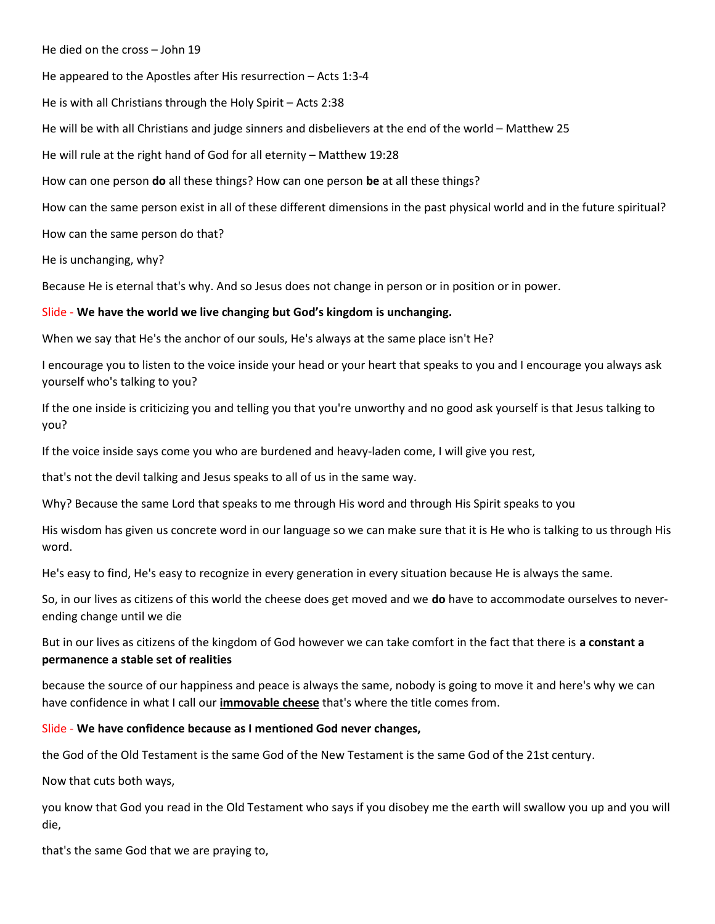#### He died on the cross – John 19

He appeared to the Apostles after His resurrection – Acts 1:3-4

He is with all Christians through the Holy Spirit – Acts 2:38

He will be with all Christians and judge sinners and disbelievers at the end of the world – Matthew 25

He will rule at the right hand of God for all eternity – Matthew 19:28

How can one person **do** all these things? How can one person be at all these things?

How can the same person exist in all of these different dimensions in the past physical world and in the future spiritual?

How can the same person do that?

He is unchanging, why?

Because He is eternal that's why. And so Jesus does not change in person or in position or in power.

#### Slide - We have the world we live changing but God's kingdom is unchanging.

When we say that He's the anchor of our souls, He's always at the same place isn't He?

I encourage you to listen to the voice inside your head or your heart that speaks to you and I encourage you always ask yourself who's talking to you?

If the one inside is criticizing you and telling you that you're unworthy and no good ask yourself is that Jesus talking to you?

If the voice inside says come you who are burdened and heavy-laden come, I will give you rest,

that's not the devil talking and Jesus speaks to all of us in the same way.

Why? Because the same Lord that speaks to me through His word and through His Spirit speaks to you

His wisdom has given us concrete word in our language so we can make sure that it is He who is talking to us through His word.

He's easy to find, He's easy to recognize in every generation in every situation because He is always the same.

So, in our lives as citizens of this world the cheese does get moved and we **do** have to accommodate ourselves to neverending change until we die

But in our lives as citizens of the kingdom of God however we can take comfort in the fact that there is a constant a permanence a stable set of realities

because the source of our happiness and peace is always the same, nobody is going to move it and here's why we can have confidence in what I call our immovable cheese that's where the title comes from.

## Slide - We have confidence because as I mentioned God never changes,

the God of the Old Testament is the same God of the New Testament is the same God of the 21st century.

Now that cuts both ways,

you know that God you read in the Old Testament who says if you disobey me the earth will swallow you up and you will die,

that's the same God that we are praying to,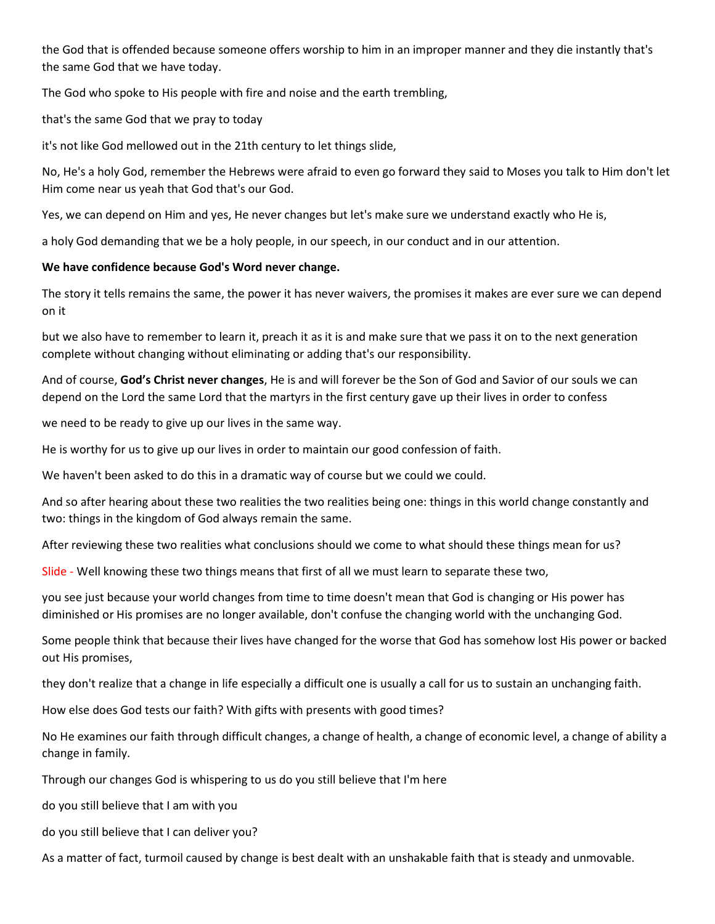the God that is offended because someone offers worship to him in an improper manner and they die instantly that's the same God that we have today.

The God who spoke to His people with fire and noise and the earth trembling,

that's the same God that we pray to today

it's not like God mellowed out in the 21th century to let things slide,

No, He's a holy God, remember the Hebrews were afraid to even go forward they said to Moses you talk to Him don't let Him come near us yeah that God that's our God.

Yes, we can depend on Him and yes, He never changes but let's make sure we understand exactly who He is,

a holy God demanding that we be a holy people, in our speech, in our conduct and in our attention.

# We have confidence because God's Word never change.

The story it tells remains the same, the power it has never waivers, the promises it makes are ever sure we can depend on it

but we also have to remember to learn it, preach it as it is and make sure that we pass it on to the next generation complete without changing without eliminating or adding that's our responsibility.

And of course, God's Christ never changes, He is and will forever be the Son of God and Savior of our souls we can depend on the Lord the same Lord that the martyrs in the first century gave up their lives in order to confess

we need to be ready to give up our lives in the same way.

He is worthy for us to give up our lives in order to maintain our good confession of faith.

We haven't been asked to do this in a dramatic way of course but we could we could.

And so after hearing about these two realities the two realities being one: things in this world change constantly and two: things in the kingdom of God always remain the same.

After reviewing these two realities what conclusions should we come to what should these things mean for us?

Slide - Well knowing these two things means that first of all we must learn to separate these two,

you see just because your world changes from time to time doesn't mean that God is changing or His power has diminished or His promises are no longer available, don't confuse the changing world with the unchanging God.

Some people think that because their lives have changed for the worse that God has somehow lost His power or backed out His promises,

they don't realize that a change in life especially a difficult one is usually a call for us to sustain an unchanging faith.

How else does God tests our faith? With gifts with presents with good times?

No He examines our faith through difficult changes, a change of health, a change of economic level, a change of ability a change in family.

Through our changes God is whispering to us do you still believe that I'm here

do you still believe that I am with you

do you still believe that I can deliver you?

As a matter of fact, turmoil caused by change is best dealt with an unshakable faith that is steady and unmovable.